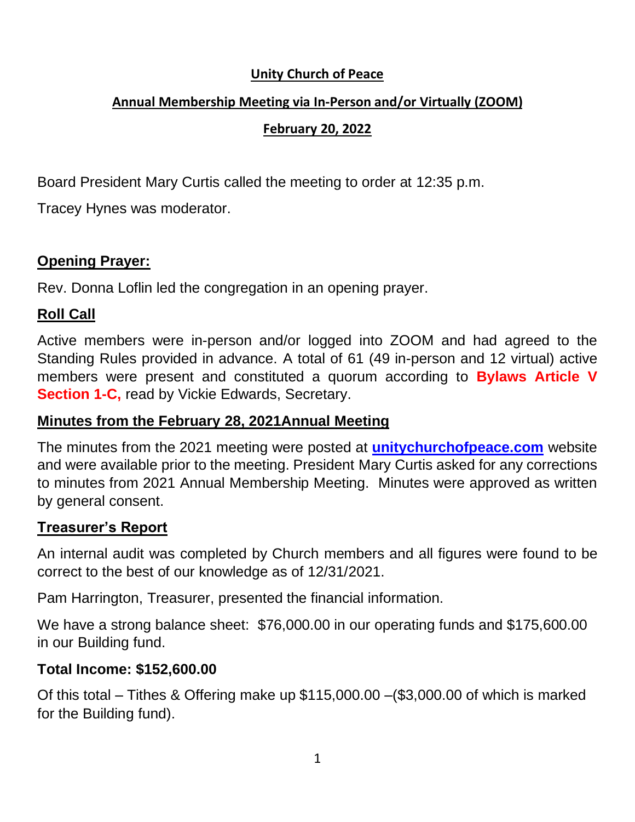#### **Unity Church of Peace**

### **Annual Membership Meeting via In-Person and/or Virtually (ZOOM)**

### **February 20, 2022**

Board President Mary Curtis called the meeting to order at 12:35 p.m.

Tracey Hynes was moderator.

### **Opening Prayer:**

Rev. Donna Loflin led the congregation in an opening prayer.

### **Roll Call**

Active members were in-person and/or logged into ZOOM and had agreed to the Standing Rules provided in advance. A total of 61 (49 in-person and 12 virtual) active members were present and constituted a quorum according to **Bylaws Article V Section 1-C, read by Vickie Edwards, Secretary.** 

### **Minutes from the February 28, 2021Annual Meeting**

The minutes from the 2021 meeting were posted at **unitychurchofpeace.com** website and were available prior to the meeting. President Mary Curtis asked for any corrections to minutes from 2021 Annual Membership Meeting. Minutes were approved as written by general consent.

### **Treasurer's Report**

An internal audit was completed by Church members and all figures were found to be correct to the best of our knowledge as of 12/31/2021.

Pam Harrington, Treasurer, presented the financial information.

We have a strong balance sheet: \$76,000.00 in our operating funds and \$175,600.00 in our Building fund.

### **Total Income: \$152,600.00**

Of this total – Tithes & Offering make up \$115,000.00 –(\$3,000.00 of which is marked for the Building fund).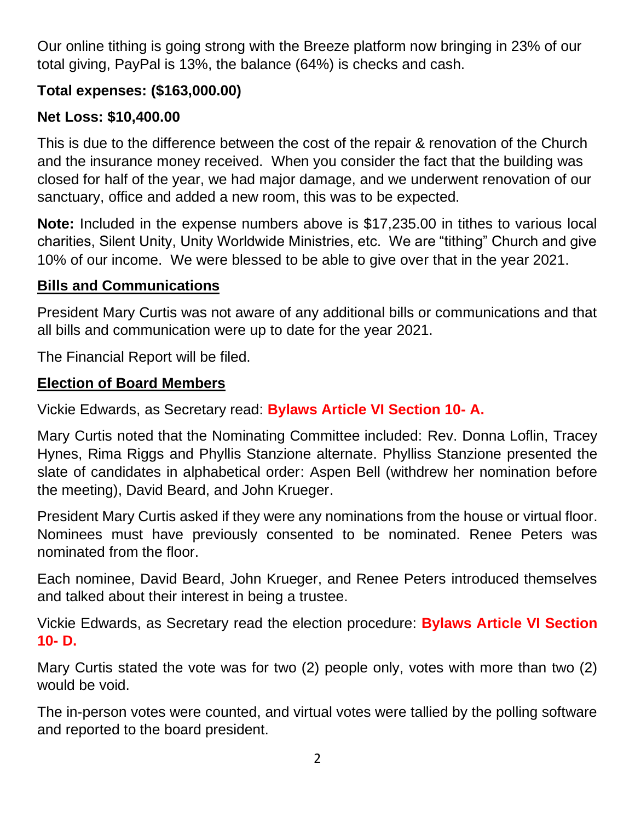Our online tithing is going strong with the Breeze platform now bringing in 23% of our total giving, PayPal is 13%, the balance (64%) is checks and cash.

## **Total expenses: (\$163,000.00)**

# **Net Loss: \$10,400.00**

This is due to the difference between the cost of the repair & renovation of the Church and the insurance money received. When you consider the fact that the building was closed for half of the year, we had major damage, and we underwent renovation of our sanctuary, office and added a new room, this was to be expected.

**Note:** Included in the expense numbers above is \$17,235.00 in tithes to various local charities, Silent Unity, Unity Worldwide Ministries, etc. We are "tithing" Church and give 10% of our income. We were blessed to be able to give over that in the year 2021.

#### **Bills and Communications**

President Mary Curtis was not aware of any additional bills or communications and that all bills and communication were up to date for the year 2021.

The Financial Report will be filed.

### **Election of Board Members**

Vickie Edwards, as Secretary read: **Bylaws Article VI Section 10- A.**

Mary Curtis noted that the Nominating Committee included: Rev. Donna Loflin, Tracey Hynes, Rima Riggs and Phyllis Stanzione alternate. Phylliss Stanzione presented the slate of candidates in alphabetical order: Aspen Bell (withdrew her nomination before the meeting), David Beard, and John Krueger.

President Mary Curtis asked if they were any nominations from the house or virtual floor. Nominees must have previously consented to be nominated. Renee Peters was nominated from the floor.

Each nominee, David Beard, John Krueger, and Renee Peters introduced themselves and talked about their interest in being a trustee.

Vickie Edwards, as Secretary read the election procedure: **Bylaws Article VI Section 10- D.**

Mary Curtis stated the vote was for two (2) people only, votes with more than two (2) would be void.

The in-person votes were counted, and virtual votes were tallied by the polling software and reported to the board president.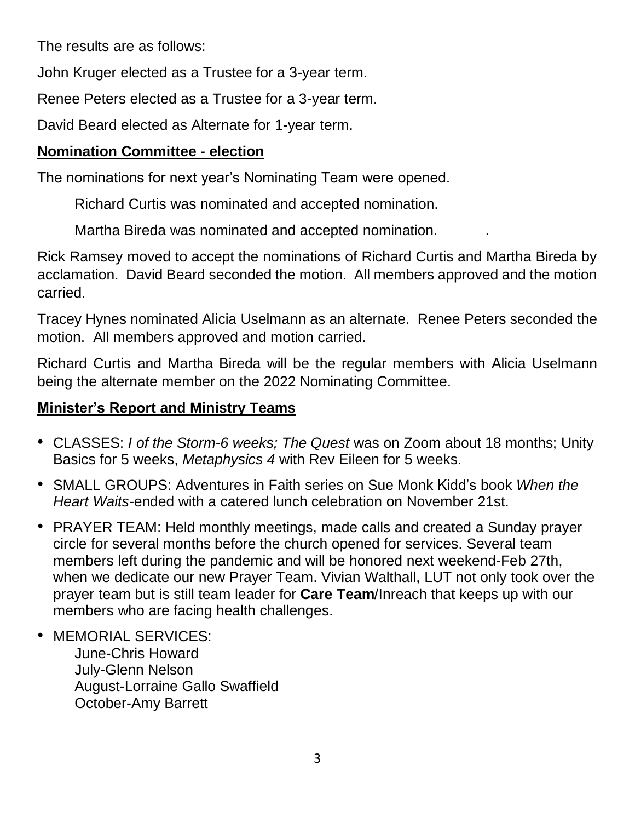The results are as follows:

John Kruger elected as a Trustee for a 3-year term.

Renee Peters elected as a Trustee for a 3-year term.

David Beard elected as Alternate for 1-year term.

## **Nomination Committee - election**

The nominations for next year's Nominating Team were opened.

Richard Curtis was nominated and accepted nomination.

Martha Bireda was nominated and accepted nomination. .

Rick Ramsey moved to accept the nominations of Richard Curtis and Martha Bireda by acclamation. David Beard seconded the motion. All members approved and the motion carried.

Tracey Hynes nominated Alicia Uselmann as an alternate. Renee Peters seconded the motion. All members approved and motion carried.

Richard Curtis and Martha Bireda will be the regular members with Alicia Uselmann being the alternate member on the 2022 Nominating Committee.

# **Minister's Report and Ministry Teams**

- CLASSES: *I of the Storm-6 weeks; The Quest* was on Zoom about 18 months; Unity Basics for 5 weeks, *Metaphysics 4* with Rev Eileen for 5 weeks.
- SMALL GROUPS: Adventures in Faith series on Sue Monk Kidd's book *When the Heart Waits-*ended with a catered lunch celebration on November 21st.
- PRAYER TEAM: Held monthly meetings, made calls and created a Sunday prayer circle for several months before the church opened for services. Several team members left during the pandemic and will be honored next weekend-Feb 27th, when we dedicate our new Prayer Team. Vivian Walthall, LUT not only took over the prayer team but is still team leader for **Care Team**/Inreach that keeps up with our members who are facing health challenges.
- MEMORIAL SERVICES:

June-Chris Howard July-Glenn Nelson August-Lorraine Gallo Swaffield October-Amy Barrett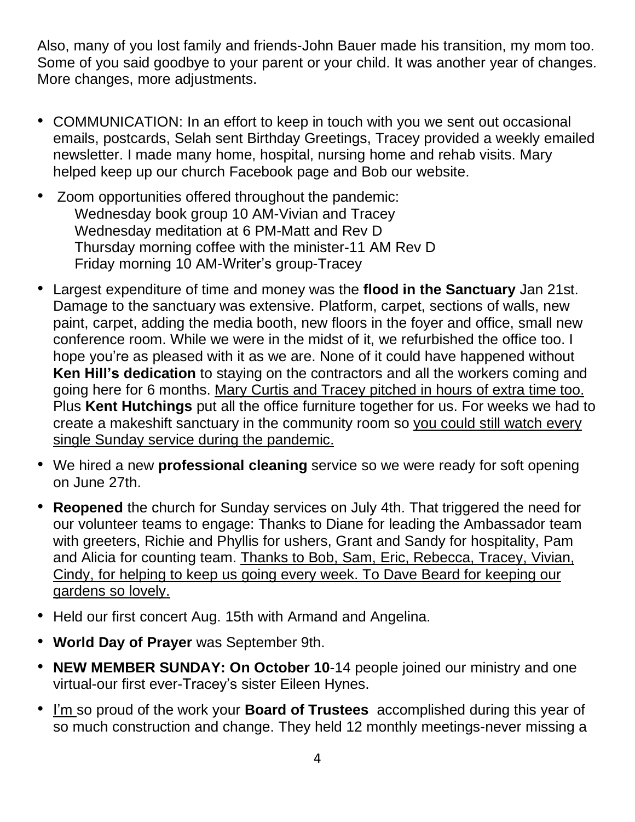Also, many of you lost family and friends-John Bauer made his transition, my mom too. Some of you said goodbye to your parent or your child. It was another year of changes. More changes, more adjustments.

- COMMUNICATION: In an effort to keep in touch with you we sent out occasional emails, postcards, Selah sent Birthday Greetings, Tracey provided a weekly emailed newsletter. I made many home, hospital, nursing home and rehab visits. Mary helped keep up our church Facebook page and Bob our website.
- Zoom opportunities offered throughout the pandemic: Wednesday book group 10 AM-Vivian and Tracey Wednesday meditation at 6 PM-Matt and Rev D Thursday morning coffee with the minister-11 AM Rev D Friday morning 10 AM-Writer's group-Tracey
- Largest expenditure of time and money was the **flood in the Sanctuary** Jan 21st. Damage to the sanctuary was extensive. Platform, carpet, sections of walls, new paint, carpet, adding the media booth, new floors in the foyer and office, small new conference room. While we were in the midst of it, we refurbished the office too. I hope you're as pleased with it as we are. None of it could have happened without **Ken Hill's dedication** to staying on the contractors and all the workers coming and going here for 6 months. Mary Curtis and Tracey pitched in hours of extra time too. Plus **Kent Hutchings** put all the office furniture together for us. For weeks we had to create a makeshift sanctuary in the community room so you could still watch every single Sunday service during the pandemic.
- We hired a new **professional cleaning** service so we were ready for soft opening on June 27th.
- **Reopened** the church for Sunday services on July 4th. That triggered the need for our volunteer teams to engage: Thanks to Diane for leading the Ambassador team with greeters, Richie and Phyllis for ushers, Grant and Sandy for hospitality, Pam and Alicia for counting team. Thanks to Bob, Sam, Eric, Rebecca, Tracey, Vivian, Cindy, for helping to keep us going every week. To Dave Beard for keeping our gardens so lovely.
- Held our first concert Aug. 15th with Armand and Angelina.
- **World Day of Prayer** was September 9th.
- **NEW MEMBER SUNDAY: On October 10**-14 people joined our ministry and one virtual-our first ever-Tracey's sister Eileen Hynes.
- I'm so proud of the work your **Board of Trustees** accomplished during this year of so much construction and change. They held 12 monthly meetings-never missing a